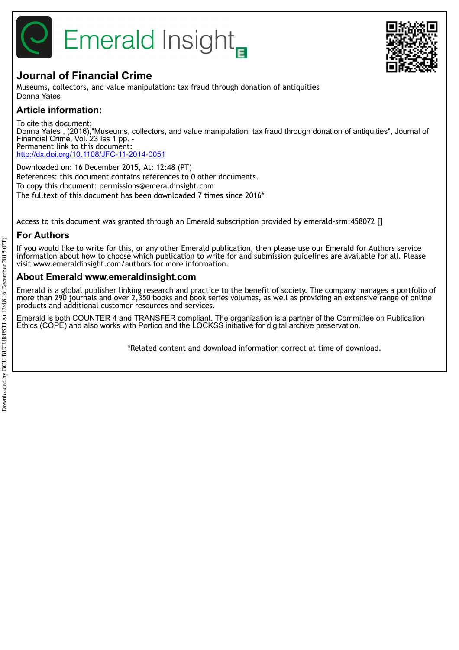

# **Journal of Financial Crime**

Museums, collectors, and value manipulation: tax fraud through donation of antiquities Donna Yates

# **Article information:**

To cite this document: Donna Yates , (2016),"Museums, collectors, and value manipulation: tax fraud through donation of antiquities", Journal of Financial Crime, Vol. 23 Iss 1 pp. - Permanent link to this document: <http://dx.doi.org/10.1108/JFC-11-2014-0051>

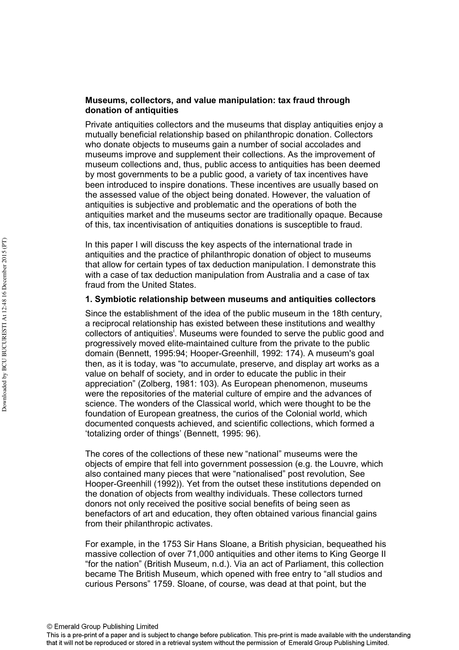# **Museums, collectors, and value manipulation: tax fraud through donation of antiquities**

Private antiquities collectors and the museums that display antiquities enjoy a mutually beneficial relationship based on philanthropic donation. Collectors who donate objects to museums gain a number of social accolades and museums improve and supplement their collections. As the improvement of museum collections and, thus, public access to antiquities has been deemed by most governments to be a public good, a variety of tax incentives have been introduced to inspire donations. These incentives are usually based on the assessed value of the object being donated. However, the valuation of antiquities is subjective and problematic and the operations of both the antiquities market and the museums sector are traditionally opaque. Because of this, tax incentivisation of antiquities donations is susceptible to fraud.

In this paper I will discuss the key aspects of the international trade in antiquities and the practice of philanthropic donation of object to museums that allow for certain types of tax deduction manipulation. I demonstrate this with a case of tax deduction manipulation from Australia and a case of tax fraud from the United States.

## **1. Symbiotic relationship between museums and antiquities collectors**

Since the establishment of the idea of the public museum in the 18th century, a reciprocal relationship has existed between these institutions and wealthy collectors of antiquities<sup>1</sup>. Museums were founded to serve the public good and progressively moved elite-maintained culture from the private to the public domain (Bennett, 1995:94; Hooper-Greenhill, 1992: 174). A museum's goal then, as it is today, was "to accumulate, preserve, and display art works as a value on behalf of society, and in order to educate the public in their appreciation" (Zolberg, 1981: 103). As European phenomenon, museums were the repositories of the material culture of empire and the advances of science. The wonders of the Classical world, which were thought to be the foundation of European greatness, the curios of the Colonial world, which documented conquests achieved, and scientific collections, which formed a 'totalizing order of things' (Bennett, 1995: 96).

The cores of the collections of these new "national" museums were the objects of empire that fell into government possession (e.g. the Louvre, which also contained many pieces that were "nationalised" post revolution, See Hooper-Greenhill (1992)). Yet from the outset these institutions depended on the donation of objects from wealthy individuals. These collectors turned donors not only received the positive social benefits of being seen as benefactors of art and education, they often obtained various financial gains from their philanthropic activates.

For example, in the 1753 Sir Hans Sloane, a British physician, bequeathed his massive collection of over 71,000 antiquities and other items to King George II "for the nation" (British Museum, n.d.). Via an act of Parliament, this collection became The British Museum, which opened with free entry to "all studios and curious Persons" 1759. Sloane, of course, was dead at that point, but the

© Emerald Group Publishing Limited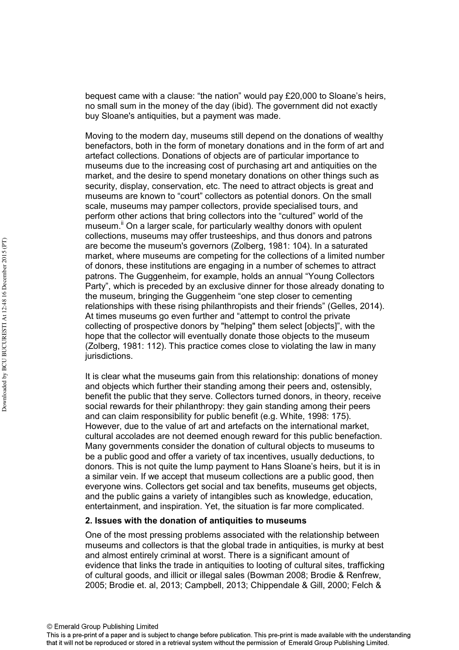bequest came with a clause: "the nation" would pay £20,000 to Sloane's heirs, no small sum in the money of the day (ibid). The government did not exactly buy Sloane's antiquities, but a payment was made.

Moving to the modern day, museums still depend on the donations of wealthy benefactors, both in the form of monetary donations and in the form of art and artefact collections. Donations of objects are of particular importance to museums due to the increasing cost of purchasing art and antiquities on the market, and the desire to spend monetary donations on other things such as security, display, conservation, etc. The need to attract objects is great and museums are known to "court" collectors as potential donors. On the small scale, museums may pamper collectors, provide specialised tours, and perform other actions that bring collectors into the "cultured" world of the museum.<sup>ii</sup> On a larger scale, for particularly wealthy donors with opulent collections, museums may offer trusteeships, and thus donors and patrons are become the museum's governors (Zolberg, 1981: 104). In a saturated market, where museums are competing for the collections of a limited number of donors, these institutions are engaging in a number of schemes to attract patrons. The Guggenheim, for example, holds an annual "Young Collectors Party", which is preceded by an exclusive dinner for those already donating to the museum, bringing the Guggenheim "one step closer to cementing relationships with these rising philanthropists and their friends" (Gelles, 2014). At times museums go even further and "attempt to control the private collecting of prospective donors by "helping" them select [objects]", with the hope that the collector will eventually donate those objects to the museum (Zolberg, 1981: 112). This practice comes close to violating the law in many jurisdictions.

It is clear what the museums gain from this relationship: donations of money and objects which further their standing among their peers and, ostensibly, benefit the public that they serve. Collectors turned donors, in theory, receive social rewards for their philanthropy: they gain standing among their peers and can claim responsibility for public benefit (e.g. White, 1998: 175). However, due to the value of art and artefacts on the international market, cultural accolades are not deemed enough reward for this public benefaction. Many governments consider the donation of cultural objects to museums to be a public good and offer a variety of tax incentives, usually deductions, to donors. This is not quite the lump payment to Hans Sloane's heirs, but it is in a similar vein. If we accept that museum collections are a public good, then everyone wins. Collectors get social and tax benefits, museums get objects, and the public gains a variety of intangibles such as knowledge, education, entertainment, and inspiration. Yet, the situation is far more complicated.

### **2. Issues with the donation of antiquities to museums**

One of the most pressing problems associated with the relationship between museums and collectors is that the global trade in antiquities, is murky at best and almost entirely criminal at worst. There is a significant amount of evidence that links the trade in antiquities to looting of cultural sites, trafficking of cultural goods, and illicit or illegal sales (Bowman 2008; Brodie & Renfrew, 2005; Brodie et. al, 2013; Campbell, 2013; Chippendale & Gill, 2000; Felch &

© Emerald Group Publishing Limited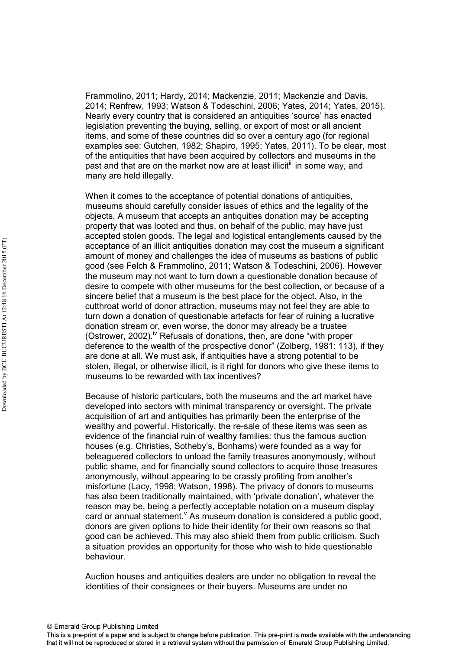Frammolino, 2011; Hardy, 2014; Mackenzie, 2011; Mackenzie and Davis, 2014; Renfrew, 1993; Watson & Todeschini, 2006; Yates, 2014; Yates, 2015). Nearly every country that is considered an antiquities 'source' has enacted legislation preventing the buying, selling, or export of most or all ancient items, and some of these countries did so over a century ago (for regional examples see: Gutchen, 1982; Shapiro, 1995; Yates, 2011). To be clear, most of the antiquities that have been acquired by collectors and museums in the past and that are on the market now are at least illicit<sup>iii</sup> in some way, and many are held illegally.

When it comes to the acceptance of potential donations of antiquities, museums should carefully consider issues of ethics and the legality of the objects. A museum that accepts an antiquities donation may be accepting property that was looted and thus, on behalf of the public, may have just accepted stolen goods. The legal and logistical entanglements caused by the acceptance of an illicit antiquities donation may cost the museum a significant amount of money and challenges the idea of museums as bastions of public good (see Felch & Frammolino, 2011; Watson & Todeschini, 2006). However the museum may not want to turn down a questionable donation because of desire to compete with other museums for the best collection, or because of a sincere belief that a museum is the best place for the object. Also, in the cutthroat world of donor attraction, museums may not feel they are able to turn down a donation of questionable artefacts for fear of ruining a lucrative donation stream or, even worse, the donor may already be a trustee (Ostrower, 2002).<sup>iv</sup> Refusals of donations, then, are done "with proper deference to the wealth of the prospective donor" (Zolberg, 1981: 113), if they are done at all. We must ask, if antiquities have a strong potential to be stolen, illegal, or otherwise illicit, is it right for donors who give these items to museums to be rewarded with tax incentives?

Because of historic particulars, both the museums and the art market have developed into sectors with minimal transparency or oversight. The private acquisition of art and antiquities has primarily been the enterprise of the wealthy and powerful. Historically, the re-sale of these items was seen as evidence of the financial ruin of wealthy families: thus the famous auction houses (e.g. Christies, Sotheby's, Bonhams) were founded as a way for beleaguered collectors to unload the family treasures anonymously, without public shame, and for financially sound collectors to acquire those treasures anonymously, without appearing to be crassly profiting from another's misfortune (Lacy, 1998; Watson, 1998). The privacy of donors to museums has also been traditionally maintained, with 'private donation', whatever the reason may be, being a perfectly acceptable notation on a museum display card or annual statement. As museum donation is considered a public good, donors are given options to hide their identity for their own reasons so that good can be achieved. This may also shield them from public criticism. Such a situation provides an opportunity for those who wish to hide questionable behaviour.

Auction houses and antiquities dealers are under no obligation to reveal the identities of their consignees or their buyers. Museums are under no

© Emerald Group Publishing Limited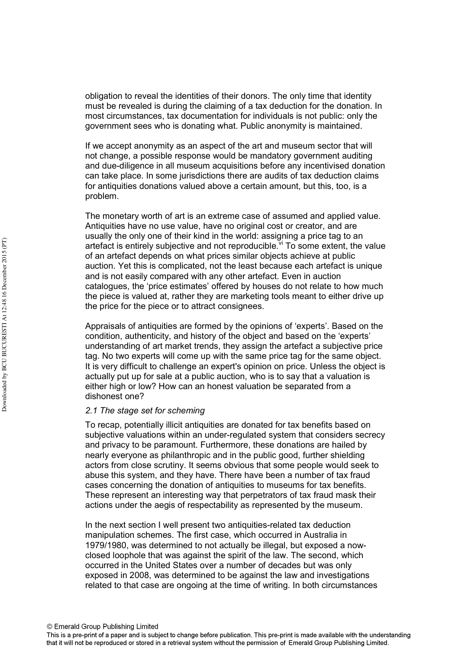obligation to reveal the identities of their donors. The only time that identity must be revealed is during the claiming of a tax deduction for the donation. In most circumstances, tax documentation for individuals is not public: only the government sees who is donating what. Public anonymity is maintained.

If we accept anonymity as an aspect of the art and museum sector that will not change, a possible response would be mandatory government auditing and due-diligence in all museum acquisitions before any incentivised donation can take place. In some jurisdictions there are audits of tax deduction claims for antiquities donations valued above a certain amount, but this, too, is a problem.

The monetary worth of art is an extreme case of assumed and applied value. Antiquities have no use value, have no original cost or creator, and are usually the only one of their kind in the world: assigning a price tag to an artefact is entirely subjective and not reproducible.<sup>vi</sup> To some extent, the value of an artefact depends on what prices similar objects achieve at public auction. Yet this is complicated, not the least because each artefact is unique and is not easily compared with any other artefact. Even in auction catalogues, the 'price estimates' offered by houses do not relate to how much the piece is valued at, rather they are marketing tools meant to either drive up the price for the piece or to attract consignees.

Appraisals of antiquities are formed by the opinions of 'experts'. Based on the condition, authenticity, and history of the object and based on the 'experts' understanding of art market trends, they assign the artefact a subjective price tag. No two experts will come up with the same price tag for the same object. It is very difficult to challenge an expert's opinion on price. Unless the object is actually put up for sale at a public auction, who is to say that a valuation is either high or low? How can an honest valuation be separated from a dishonest one?

## *2.1 The stage set for scheming*

To recap, potentially illicit antiquities are donated for tax benefits based on subjective valuations within an under-regulated system that considers secrecy and privacy to be paramount. Furthermore, these donations are hailed by nearly everyone as philanthropic and in the public good, further shielding actors from close scrutiny. It seems obvious that some people would seek to abuse this system, and they have. There have been a number of tax fraud cases concerning the donation of antiquities to museums for tax benefits. These represent an interesting way that perpetrators of tax fraud mask their actions under the aegis of respectability as represented by the museum.

In the next section I well present two antiquities-related tax deduction manipulation schemes. The first case, which occurred in Australia in 1979/1980, was determined to not actually be illegal, but exposed a nowclosed loophole that was against the spirit of the law. The second, which occurred in the United States over a number of decades but was only exposed in 2008, was determined to be against the law and investigations related to that case are ongoing at the time of writing. In both circumstances

© Emerald Group Publishing Limited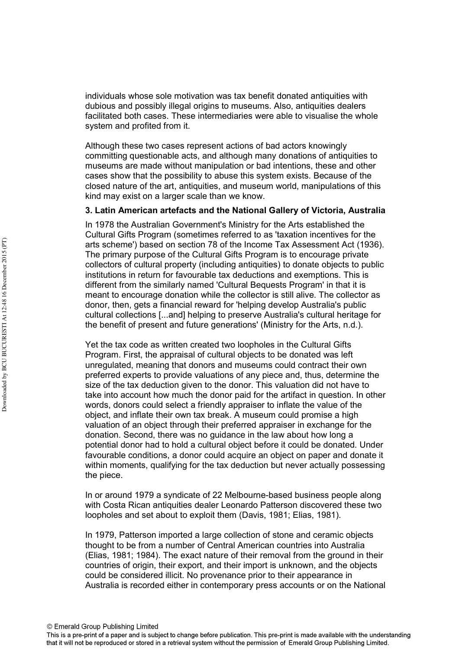individuals whose sole motivation was tax benefit donated antiquities with dubious and possibly illegal origins to museums. Also, antiquities dealers facilitated both cases. These intermediaries were able to visualise the whole system and profited from it.

Although these two cases represent actions of bad actors knowingly committing questionable acts, and although many donations of antiquities to museums are made without manipulation or bad intentions, these and other cases show that the possibility to abuse this system exists. Because of the closed nature of the art, antiquities, and museum world, manipulations of this kind may exist on a larger scale than we know.

## **3. Latin American artefacts and the National Gallery of Victoria, Australia**

In 1978 the Australian Government's Ministry for the Arts established the Cultural Gifts Program (sometimes referred to as 'taxation incentives for the arts scheme') based on section 78 of the Income Tax Assessment Act (1936). The primary purpose of the Cultural Gifts Program is to encourage private collectors of cultural property (including antiquities) to donate objects to public institutions in return for favourable tax deductions and exemptions. This is different from the similarly named 'Cultural Bequests Program' in that it is meant to encourage donation while the collector is still alive. The collector as donor, then, gets a financial reward for 'helping develop Australia's public cultural collections [...and] helping to preserve Australia's cultural heritage for the benefit of present and future generations' (Ministry for the Arts, n.d.).

Yet the tax code as written created two loopholes in the Cultural Gifts Program. First, the appraisal of cultural objects to be donated was left unregulated, meaning that donors and museums could contract their own preferred experts to provide valuations of any piece and, thus, determine the size of the tax deduction given to the donor. This valuation did not have to take into account how much the donor paid for the artifact in question. In other words, donors could select a friendly appraiser to inflate the value of the object, and inflate their own tax break. A museum could promise a high valuation of an object through their preferred appraiser in exchange for the donation. Second, there was no guidance in the law about how long a potential donor had to hold a cultural object before it could be donated. Under favourable conditions, a donor could acquire an object on paper and donate it within moments, qualifying for the tax deduction but never actually possessing the piece.

In or around 1979 a syndicate of 22 Melbourne-based business people along with Costa Rican antiquities dealer Leonardo Patterson discovered these two loopholes and set about to exploit them (Davis, 1981; Elias, 1981).

In 1979, Patterson imported a large collection of stone and ceramic objects thought to be from a number of Central American countries into Australia (Elias, 1981; 1984). The exact nature of their removal from the ground in their countries of origin, their export, and their import is unknown, and the objects could be considered illicit. No provenance prior to their appearance in Australia is recorded either in contemporary press accounts or on the National

© Emerald Group Publishing Limited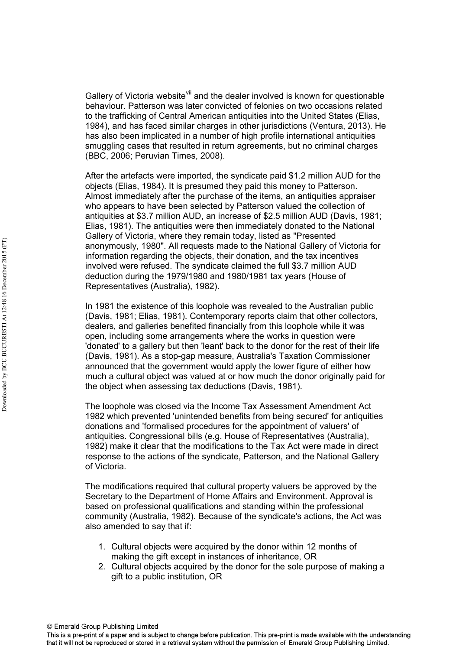Gallery of Victoria website<sup>vii</sup> and the dealer involved is known for questionable behaviour. Patterson was later convicted of felonies on two occasions related to the trafficking of Central American antiquities into the United States (Elias, 1984), and has faced similar charges in other jurisdictions (Ventura, 2013). He has also been implicated in a number of high profile international antiquities smuggling cases that resulted in return agreements, but no criminal charges (BBC, 2006; Peruvian Times, 2008).

After the artefacts were imported, the syndicate paid \$1.2 million AUD for the objects (Elias, 1984). It is presumed they paid this money to Patterson. Almost immediately after the purchase of the items, an antiquities appraiser who appears to have been selected by Patterson valued the collection of antiquities at \$3.7 million AUD, an increase of \$2.5 million AUD (Davis, 1981; Elias, 1981). The antiquities were then immediately donated to the National Gallery of Victoria, where they remain today, listed as "Presented anonymously, 1980". All requests made to the National Gallery of Victoria for information regarding the objects, their donation, and the tax incentives involved were refused. The syndicate claimed the full \$3.7 million AUD deduction during the 1979/1980 and 1980/1981 tax years (House of Representatives (Australia), 1982).

In 1981 the existence of this loophole was revealed to the Australian public (Davis, 1981; Elias, 1981). Contemporary reports claim that other collectors, dealers, and galleries benefited financially from this loophole while it was open, including some arrangements where the works in question were 'donated' to a gallery but then 'leant' back to the donor for the rest of their life (Davis, 1981). As a stop-gap measure, Australia's Taxation Commissioner announced that the government would apply the lower figure of either how much a cultural object was valued at or how much the donor originally paid for the object when assessing tax deductions (Davis, 1981).

The loophole was closed via the Income Tax Assessment Amendment Act 1982 which prevented 'unintended benefits from being secured' for antiquities donations and 'formalised procedures for the appointment of valuers' of antiquities. Congressional bills (e.g. House of Representatives (Australia), 1982) make it clear that the modifications to the Tax Act were made in direct response to the actions of the syndicate, Patterson, and the National Gallery of Victoria.

The modifications required that cultural property valuers be approved by the Secretary to the Department of Home Affairs and Environment. Approval is based on professional qualifications and standing within the professional community (Australia, 1982). Because of the syndicate's actions, the Act was also amended to say that if:

- 1. Cultural objects were acquired by the donor within 12 months of making the gift except in instances of inheritance, OR
- 2. Cultural objects acquired by the donor for the sole purpose of making a gift to a public institution, OR

© Emerald Group Publishing Limited

This is a pre-print of a paper and is subject to change before publication. This pre-print is made available with the understanding that it will not be reproduced or stored in a retrieval system without the permission of Emerald Group Publishing Limited.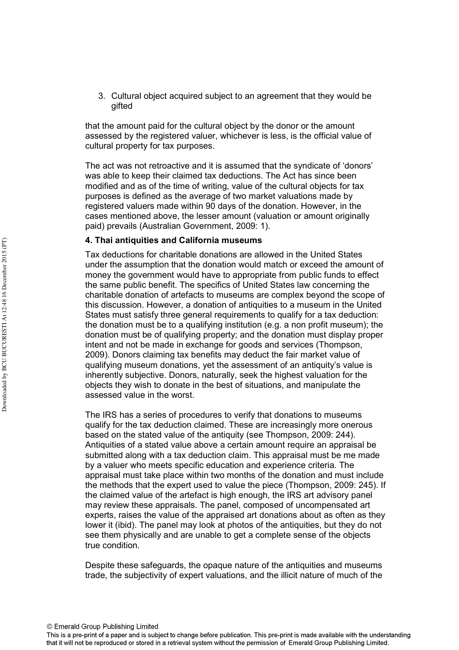3. Cultural object acquired subject to an agreement that they would be gifted

that the amount paid for the cultural object by the donor or the amount assessed by the registered valuer, whichever is less, is the official value of cultural property for tax purposes.

The act was not retroactive and it is assumed that the syndicate of 'donors' was able to keep their claimed tax deductions. The Act has since been modified and as of the time of writing, value of the cultural objects for tax purposes is defined as the average of two market valuations made by registered valuers made within 90 days of the donation. However, in the cases mentioned above, the lesser amount (valuation or amount originally paid) prevails (Australian Government, 2009: 1).

## **4. Thai antiquities and California museums**

Tax deductions for charitable donations are allowed in the United States under the assumption that the donation would match or exceed the amount of money the government would have to appropriate from public funds to effect the same public benefit. The specifics of United States law concerning the charitable donation of artefacts to museums are complex beyond the scope of this discussion. However, a donation of antiquities to a museum in the United States must satisfy three general requirements to qualify for a tax deduction: the donation must be to a qualifying institution (e.g. a non profit museum); the donation must be of qualifying property; and the donation must display proper intent and not be made in exchange for goods and services (Thompson, 2009). Donors claiming tax benefits may deduct the fair market value of qualifying museum donations, yet the assessment of an antiquity's value is inherently subjective. Donors, naturally, seek the highest valuation for the objects they wish to donate in the best of situations, and manipulate the assessed value in the worst.

The IRS has a series of procedures to verify that donations to museums qualify for the tax deduction claimed. These are increasingly more onerous based on the stated value of the antiquity (see Thompson, 2009: 244). Antiquities of a stated value above a certain amount require an appraisal be submitted along with a tax deduction claim. This appraisal must be me made by a valuer who meets specific education and experience criteria. The appraisal must take place within two months of the donation and must include the methods that the expert used to value the piece (Thompson, 2009: 245). If the claimed value of the artefact is high enough, the IRS art advisory panel may review these appraisals. The panel, composed of uncompensated art experts, raises the value of the appraised art donations about as often as they lower it (ibid). The panel may look at photos of the antiquities, but they do not see them physically and are unable to get a complete sense of the objects true condition.

Despite these safeguards, the opaque nature of the antiquities and museums trade, the subjectivity of expert valuations, and the illicit nature of much of the

© Emerald Group Publishing Limited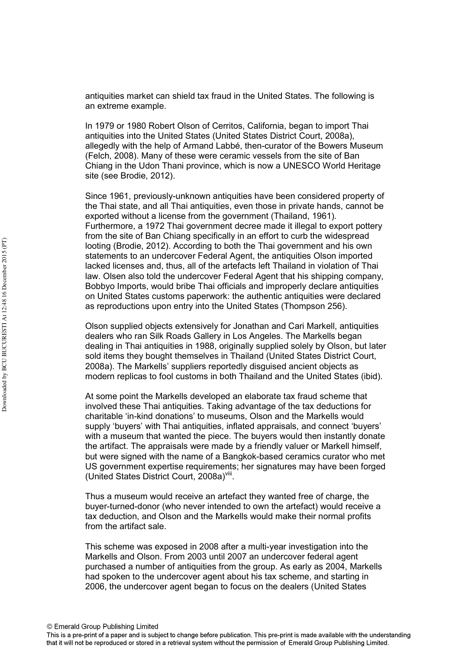antiquities market can shield tax fraud in the United States. The following is an extreme example.

In 1979 or 1980 Robert Olson of Cerritos, California, began to import Thai antiquities into the United States (United States District Court, 2008a), allegedly with the help of Armand Labbé, then-curator of the Bowers Museum (Felch, 2008). Many of these were ceramic vessels from the site of Ban Chiang in the Udon Thani province, which is now a UNESCO World Heritage site (see Brodie, 2012).

Since 1961, previously-unknown antiquities have been considered property of the Thai state, and all Thai antiquities, even those in private hands, cannot be exported without a license from the government (Thailand, 1961). Furthermore, a 1972 Thai government decree made it illegal to export pottery from the site of Ban Chiang specifically in an effort to curb the widespread looting (Brodie, 2012). According to both the Thai government and his own statements to an undercover Federal Agent, the antiquities Olson imported lacked licenses and, thus, all of the artefacts left Thailand in violation of Thai law. Olsen also told the undercover Federal Agent that his shipping company, Bobbyo Imports, would bribe Thai officials and improperly declare antiquities on United States customs paperwork: the authentic antiquities were declared as reproductions upon entry into the United States (Thompson 256).

Olson supplied objects extensively for Jonathan and Cari Markell, antiquities dealers who ran Silk Roads Gallery in Los Angeles. The Markells began dealing in Thai antiquities in 1988, originally supplied solely by Olson, but later sold items they bought themselves in Thailand (United States District Court, 2008a). The Markells' suppliers reportedly disguised ancient objects as modern replicas to fool customs in both Thailand and the United States (ibid).

At some point the Markells developed an elaborate tax fraud scheme that involved these Thai antiquities. Taking advantage of the tax deductions for charitable 'in-kind donations' to museums, Olson and the Markells would supply 'buyers' with Thai antiquities, inflated appraisals, and connect 'buyers' with a museum that wanted the piece. The buyers would then instantly donate the artifact. The appraisals were made by a friendly valuer or Markell himself, but were signed with the name of a Bangkok-based ceramics curator who met US government expertise requirements; her signatures may have been forged (United States District Court, 2008a)<sup>viii</sup>.

Thus a museum would receive an artefact they wanted free of charge, the buyer-turned-donor (who never intended to own the artefact) would receive a tax deduction, and Olson and the Markells would make their normal profits from the artifact sale.

This scheme was exposed in 2008 after a multi-year investigation into the Markells and Olson. From 2003 until 2007 an undercover federal agent purchased a number of antiquities from the group. As early as 2004, Markells had spoken to the undercover agent about his tax scheme, and starting in 2006, the undercover agent began to focus on the dealers (United States

© Emerald Group Publishing Limited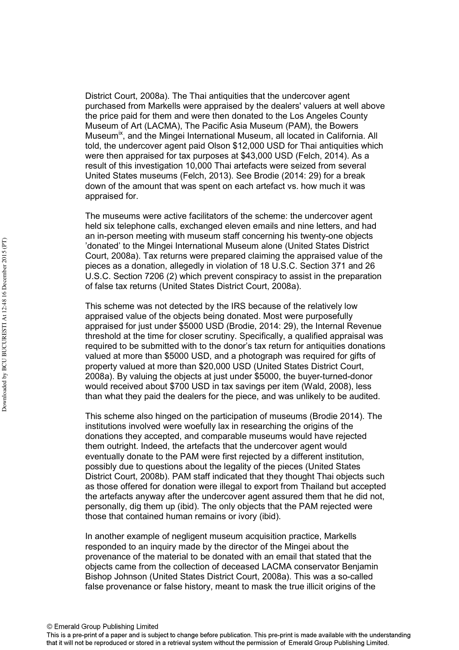District Court, 2008a). The Thai antiquities that the undercover agent purchased from Markells were appraised by the dealers' valuers at well above the price paid for them and were then donated to the Los Angeles County Museum of Art (LACMA), The Pacific Asia Museum (PAM), the Bowers Museum<sup>ix</sup>, and the Mingei International Museum, all located in California. All told, the undercover agent paid Olson \$12,000 USD for Thai antiquities which were then appraised for tax purposes at \$43,000 USD (Felch, 2014). As a result of this investigation 10,000 Thai artefacts were seized from several United States museums (Felch, 2013). See Brodie (2014: 29) for a break down of the amount that was spent on each artefact vs. how much it was appraised for.

The museums were active facilitators of the scheme: the undercover agent held six telephone calls, exchanged eleven emails and nine letters, and had an in-person meeting with museum staff concerning his twenty-one objects 'donated' to the Mingei International Museum alone (United States District Court, 2008a). Tax returns were prepared claiming the appraised value of the pieces as a donation, allegedly in violation of 18 U.S.C. Section 371 and 26 U.S.C. Section 7206 (2) which prevent conspiracy to assist in the preparation of false tax returns (United States District Court, 2008a).

This scheme was not detected by the IRS because of the relatively low appraised value of the objects being donated. Most were purposefully appraised for just under \$5000 USD (Brodie, 2014: 29), the Internal Revenue threshold at the time for closer scrutiny. Specifically, a qualified appraisal was required to be submitted with to the donor's tax return for antiquities donations valued at more than \$5000 USD, and a photograph was required for gifts of property valued at more than \$20,000 USD (United States District Court, 2008a). By valuing the objects at just under \$5000, the buyer-turned-donor would received about \$700 USD in tax savings per item (Wald, 2008), less than what they paid the dealers for the piece, and was unlikely to be audited.

This scheme also hinged on the participation of museums (Brodie 2014). The institutions involved were woefully lax in researching the origins of the donations they accepted, and comparable museums would have rejected them outright. Indeed, the artefacts that the undercover agent would eventually donate to the PAM were first rejected by a different institution, possibly due to questions about the legality of the pieces (United States District Court, 2008b). PAM staff indicated that they thought Thai objects such as those offered for donation were illegal to export from Thailand but accepted the artefacts anyway after the undercover agent assured them that he did not, personally, dig them up (ibid). The only objects that the PAM rejected were those that contained human remains or ivory (ibid).

In another example of negligent museum acquisition practice, Markells responded to an inquiry made by the director of the Mingei about the provenance of the material to be donated with an email that stated that the objects came from the collection of deceased LACMA conservator Benjamin Bishop Johnson (United States District Court, 2008a). This was a so-called false provenance or false history, meant to mask the true illicit origins of the

© Emerald Group Publishing Limited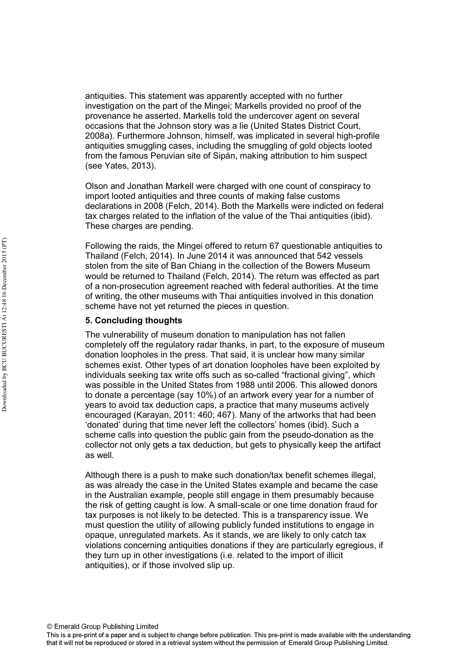antiquities. This statement was apparently accepted with no further investigation on the part of the Mingei; Markells provided no proof of the provenance he asserted. Markells told the undercover agent on several occasions that the Johnson story was a lie (United States District Court, 2008a). Furthermore Johnson, himself, was implicated in several high-profile antiquities smuggling cases, including the smuggling of gold objects looted from the famous Peruvian site of Sipán, making attribution to him suspect (see Yates, 2013).

Olson and Jonathan Markell were charged with one count of conspiracy to import looted antiquities and three counts of making false customs declarations in 2008 (Felch, 2014). Both the Markells were indicted on federal tax charges related to the inflation of the value of the Thai antiquities (ibid). These charges are pending.

Following the raids, the Mingei offered to return 67 questionable antiquities to Thailand (Felch, 2014). In June 2014 it was announced that 542 vessels stolen from the site of Ban Chiang in the collection of the Bowers Museum would be returned to Thailand (Felch, 2014). The return was effected as part of a non-prosecution agreement reached with federal authorities. At the time of writing, the other museums with Thai antiquities involved in this donation scheme have not yet returned the pieces in question.

## **5. Concluding thoughts**

The vulnerability of museum donation to manipulation has not fallen completely off the regulatory radar thanks, in part, to the exposure of museum donation loopholes in the press. That said, it is unclear how many similar schemes exist. Other types of art donation loopholes have been exploited by individuals seeking tax write offs such as so-called "fractional giving", which was possible in the United States from 1988 until 2006. This allowed donors to donate a percentage (say 10%) of an artwork every year for a number of years to avoid tax deduction caps, a practice that many museums actively encouraged (Karayan, 2011: 460; 467). Many of the artworks that had been 'donated' during that time never left the collectors' homes (ibid). Such a scheme calls into question the public gain from the pseudo-donation as the collector not only gets a tax deduction, but gets to physically keep the artifact as well.

Although there is a push to make such donation/tax benefit schemes illegal, as was already the case in the United States example and became the case in the Australian example, people still engage in them presumably because the risk of getting caught is low. A small-scale or one time donation fraud for tax purposes is not likely to be detected. This is a transparency issue. We must question the utility of allowing publicly funded institutions to engage in opaque, unregulated markets. As it stands, we are likely to only catch tax violations concerning antiquities donations if they are particularly egregious, if they turn up in other investigations (i.e. related to the import of illicit antiquities), or if those involved slip up.

© Emerald Group Publishing Limited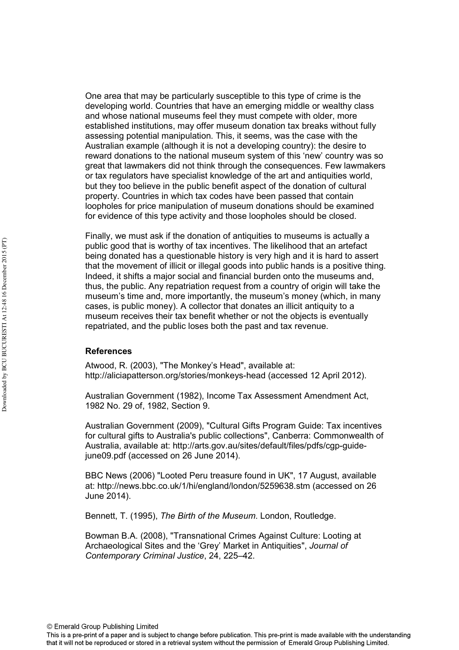One area that may be particularly susceptible to this type of crime is the developing world. Countries that have an emerging middle or wealthy class and whose national museums feel they must compete with older, more established institutions, may offer museum donation tax breaks without fully assessing potential manipulation. This, it seems, was the case with the Australian example (although it is not a developing country): the desire to reward donations to the national museum system of this 'new' country was so great that lawmakers did not think through the consequences. Few lawmakers or tax regulators have specialist knowledge of the art and antiquities world, but they too believe in the public benefit aspect of the donation of cultural property. Countries in which tax codes have been passed that contain loopholes for price manipulation of museum donations should be examined for evidence of this type activity and those loopholes should be closed.

Finally, we must ask if the donation of antiquities to museums is actually a public good that is worthy of tax incentives. The likelihood that an artefact being donated has a questionable history is very high and it is hard to assert that the movement of illicit or illegal goods into public hands is a positive thing. Indeed, it shifts a major social and financial burden onto the museums and, thus, the public. Any repatriation request from a country of origin will take the museum's time and, more importantly, the museum's money (which, in many cases, is public money). A collector that donates an illicit antiquity to a museum receives their tax benefit whether or not the objects is eventually repatriated, and the public loses both the past and tax revenue.

### **References**

Atwood, R. (2003), "The Monkey's Head", available at: http://aliciapatterson.org/stories/monkeys-head (accessed 12 April 2012).

Australian Government (1982), Income Tax Assessment Amendment Act, 1982 No. 29 of, 1982, Section 9.

Australian Government (2009), "Cultural Gifts Program Guide: Tax incentives for cultural gifts to Australia's public collections", Canberra: Commonwealth of Australia, available at: http://arts.gov.au/sites/default/files/pdfs/cgp-guidejune09.pdf (accessed on 26 June 2014).

BBC News (2006) "Looted Peru treasure found in UK", 17 August, available at: http://news.bbc.co.uk/1/hi/england/london/5259638.stm (accessed on 26 June 2014).

Bennett, T. (1995), *The Birth of the Museum*. London, Routledge.

Bowman B.A. (2008), "Transnational Crimes Against Culture: Looting at Archaeological Sites and the 'Grey' Market in Antiquities", *[Journal of](http://www.emeraldinsight.com/action/showLinks?crossref=10.1177%2F1043986208318210) [Contemporary Criminal Justice](http://www.emeraldinsight.com/action/showLinks?crossref=10.1177%2F1043986208318210)*, 24, 225–42.

© Emerald Group Publishing Limited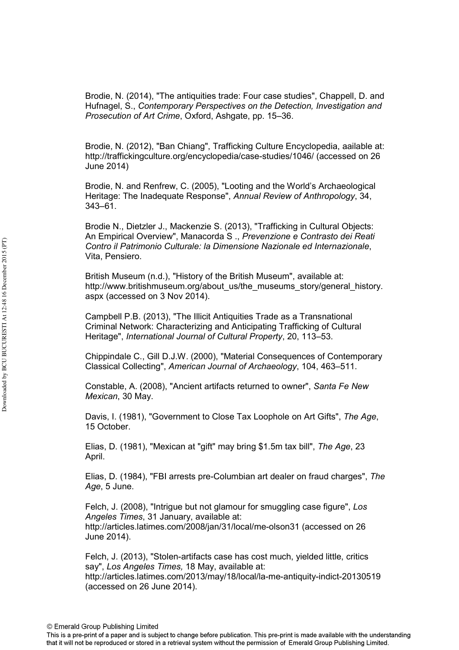Brodie, N. (2014), "The antiquities trade: Four case studies", Chappell, D. and Hufnagel, S., *Contemporary Perspectives on the Detection, Investigation and Prosecution of Art Crime*, Oxford, Ashgate, pp. 15–36.

Brodie, N. (2012), "Ban Chiang", Trafficking Culture Encyclopedia, aailable at: http://traffickingculture.org/encyclopedia/case-studies/1046/ (accessed on 26 June 2014)

Brodie, N. and Renfrew, C. (2005), "Looting and the World's Archaeological Heritage: The Inadequate Response", *[Annual Review of Anthropology](http://www.emeraldinsight.com/action/showLinks?crossref=10.1146%2Fannurev.anthro.34.081804.120551&isi=000233520400019)*, 34, 343–61.

Brodie N., Dietzler J., Mackenzie S. (2013), "Trafficking in Cultural Objects: An Empirical Overview", Manacorda S ., *Prevenzione e Contrasto dei Reati Contro il Patrimonio Culturale: la Dimensione Nazionale ed Internazionale*, Vita, Pensiero.

British Museum (n.d.), "History of the British Museum", available at: http://www.britishmuseum.org/about\_us/the\_museums\_story/general\_history. aspx (accessed on 3 Nov 2014).

Campbell P.B. (2013), "The Illicit Antiquities Trade as a Transnational Criminal Network: Characterizing and Anticipating Trafficking of Cultural Heritage", *[International Journal of Cultural Property](http://www.emeraldinsight.com/action/showLinks?crossref=10.1017%2FS0940739113000015)*, 20, 113–53.

Chippindale C., Gill D.J.W. (2000), "Material Consequences of Contemporary Classical Collecting", *[American Journal of Archaeology](http://www.emeraldinsight.com/action/showLinks?crossref=10.2307%2F507226&isi=000168590200002)*, 104, 463–511.

Constable, A. (2008), "Ancient artifacts returned to owner", *Santa Fe New Mexican*, 30 May.

Davis, I. (1981), "Government to Close Tax Loophole on Art Gifts", *The Age*, 15 October.

Elias, D. (1981), "Mexican at "gift" may bring \$1.5m tax bill", *The Age*, 23 April.

Elias, D. (1984), "FBI arrests pre-Columbian art dealer on fraud charges", *The Age*, 5 June.

Felch, J. (2008), "Intrigue but not glamour for smuggling case figure", *Los Angeles Times*, 31 January, available at: http://articles.latimes.com/2008/jan/31/local/me-olson31 (accessed on 26 June 2014).

Felch, J. (2013), "Stolen-artifacts case has cost much, yielded little, critics say", *Los Angeles Times,* 18 May, available at: http://articles.latimes.com/2013/may/18/local/la-me-antiquity-indict-20130519 (accessed on 26 June 2014).

© Emerald Group Publishing Limited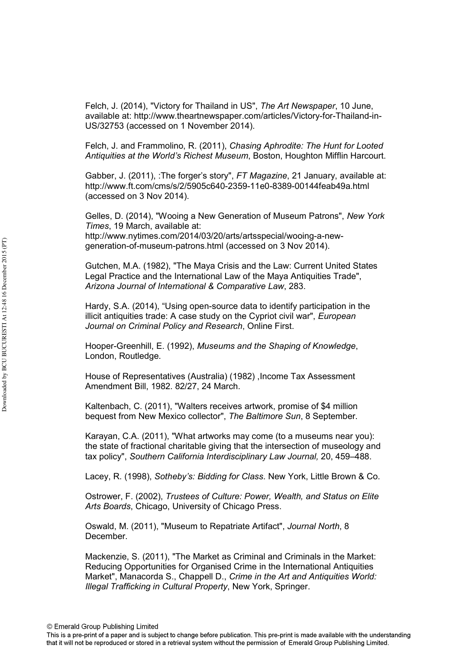Felch, J. (2014), "Victory for Thailand in US", *The Art Newspaper*, 10 June, available at: http://www.theartnewspaper.com/articles/Victory-for-Thailand-in-US/32753 (accessed on 1 November 2014).

Felch, J. and Frammolino, R. (2011), *Chasing Aphrodite: The Hunt for Looted Antiquities at the World's Richest Museum*, Boston, Houghton Mifflin Harcourt.

Gabber, J. (2011), :The forger's story", *FT Magazine*, 21 January, available at: http://www.ft.com/cms/s/2/5905c640-2359-11e0-8389-00144feab49a.html (accessed on 3 Nov 2014).

Gelles, D. (2014), "Wooing a New Generation of Museum Patrons", *New York Times*, 19 March, available at: http://www.nytimes.com/2014/03/20/arts/artsspecial/wooing-a-newgeneration-of-museum-patrons.html (accessed on 3 Nov 2014).

Gutchen, M.A. (1982), "The Maya Crisis and the Law: Current United States Legal Practice and the International Law of the Maya Antiquities Trade", *Arizona Journal of International & Comparative Law*, 283.

Hardy, S.A. (2014), "Using open-source data to identify participation in the illicit antiquities trade: A case study on the Cypriot civil war", *European Journal on Criminal Policy and Research*, Online First.

Hooper-Greenhill, E. (1992), *Museums and the Shaping of Knowledge*, London, Routledge.

House of Representatives (Australia) (1982) ,Income Tax Assessment Amendment Bill, 1982. 82/27, 24 March.

Kaltenbach, C. (2011), "Walters receives artwork, promise of \$4 million bequest from New Mexico collector", *The Baltimore Sun*, 8 September.

Karayan, C.A. (2011), "What artworks may come (to a museums near you): the state of fractional charitable giving that the intersection of museology and tax policy", *Southern California Interdisciplinary Law Journal,* 20, 459–488.

Lacey, R. (1998), *Sotheby's: Bidding for Class*. New York, Little Brown & Co.

Ostrower, F. (2002), *Trustees of Culture: Power, Wealth, and Status on Elite Arts Boards*, Chicago, University of Chicago Press.

Oswald, M. (2011), "Museum to Repatriate Artifact", *Journal North*, 8 December.

Mackenzie, S. (2011), "The Market as Criminal and Criminals in the Market: Reducing Opportunities for Organised Crime in the International Antiquities Market", Manacorda S., Chappell D., *[Crime in the Art and Antiquities World:](http://www.emeraldinsight.com/action/showLinks?crossref=10.1007%2F978-1-4419-7946-9_4)  [Illegal Trafficking in Cultural Property](http://www.emeraldinsight.com/action/showLinks?crossref=10.1007%2F978-1-4419-7946-9_4)*, New York, Springer.

© Emerald Group Publishing Limited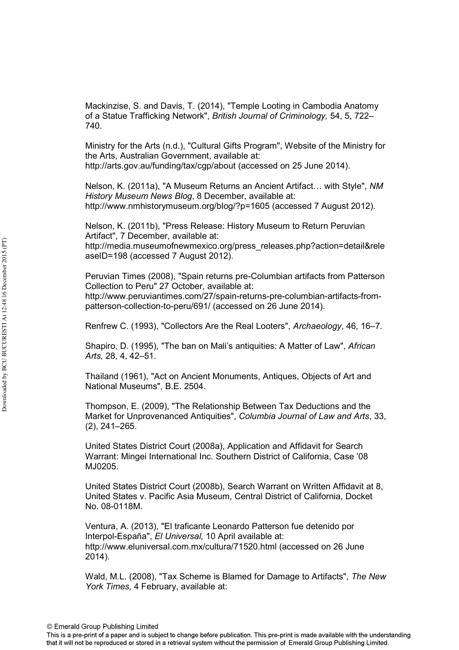Mackinzise, S. and Davis, T. (2014), "Temple Looting in Cambodia Anatomy of a Statue Trafficking Network", *[British Journal of Criminology](http://www.emeraldinsight.com/action/showLinks?crossref=10.1093%2Fbjc%2Fazu038&isi=000344651700002),* 54, 5, 722– 740.

Ministry for the Arts (n.d.), "Cultural Gifts Program", Website of the Ministry for the Arts, Australian Government, available at: http://arts.gov.au/funding/tax/cgp/about (accessed on 25 June 2014).

Nelson, K. (2011a), "A Museum Returns an Ancient Artifact... with Style", *NM History Museum News Blog*, 8 December, available at: http://www.nmhistorymuseum.org/blog/?p=1605 (accessed 7 August 2012).

Nelson, K. (2011b), "Press Release: History Museum to Return Peruvian Artifact", 7 December, available at:

http://media.museumofnewmexico.org/press\_releases.php?action=detail&rele aseID=198 (accessed 7 August 2012).

Peruvian Times (2008), "Spain returns pre-Columbian artifacts from Patterson Collection to Peru" 27 October, available at: http://www.peruviantimes.com/27/spain-returns-pre-columbian-artifacts-from-

patterson-collection-to-peru/691/ (accessed on 26 June 2014).

Renfrew C. (1993), "Collectors Are the Real Looters", *[Archaeology](http://www.emeraldinsight.com/action/showLinks?isi=A1993KY24800007)*, 46, 16–7.

Shapiro, D. (1995), "The ban on Mali's antiquities: A Matter of Law", *[African](http://www.emeraldinsight.com/action/showLinks?crossref=10.2307%2F3337291&isi=A1995TF25400007) [Arts](http://www.emeraldinsight.com/action/showLinks?crossref=10.2307%2F3337291&isi=A1995TF25400007),* 28, 4, 42–51.

Thailand (1961), "Act on Ancient Monuments, Antiques, Objects of Art and National Museums", B.E. 2504.

Thompson, E. (2009), "The Relationship Between Tax Deductions and the Market for Unprovenanced Antiquities", *Columbia Journal of Law and Arts*, 33, (2), 241–265.

United States District Court (2008a), Application and Affidavit for Search Warrant: Mingei International Inc. Southern District of California, Case '08 MJ0205.

United States District Court (2008b), Search Warrant on Written Affidavit at 8, United States v. Pacific Asia Museum, Central District of California, Docket No. 08-0118M.

Ventura, A. (2013), "El traficante Leonardo Patterson fue detenido por Interpol-España", *El Universal,* 10 April available at: http://www.eluniversal.com.mx/cultura/71520.html (accessed on 26 June 2014).

Wald, M.L. (2008), "Tax Scheme is Blamed for Damage to Artifacts", *The New York Times,* 4 February, available at:

© Emerald Group Publishing Limited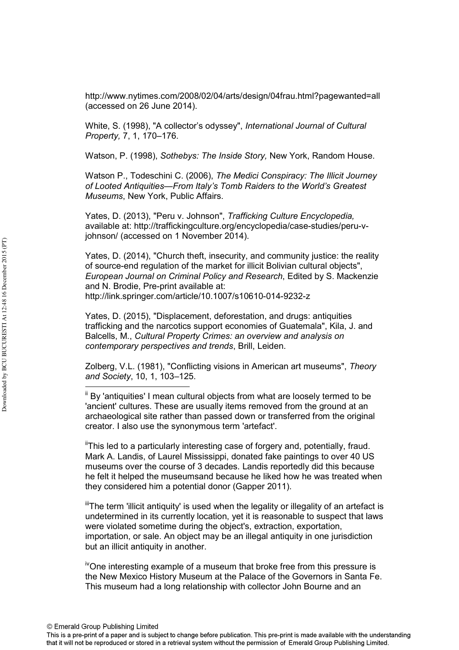http://www.nytimes.com/2008/02/04/arts/design/04frau.html?pagewanted=all (accessed on 26 June 2014).

White, S. (1998), "A collector's odyssey", *[International Journal of Cultural](http://www.emeraldinsight.com/action/showLinks?crossref=10.1017%2FS094073919877016X) [Property,](http://www.emeraldinsight.com/action/showLinks?crossref=10.1017%2FS094073919877016X)* 7, 1, 170–176.

Watson, P. (1998), *Sothebys: The Inside Story,* New York, Random House.

Watson P., Todeschini C. (2006), *The Medici Conspiracy: The Illicit Journey of Looted Antiquities—From Italy's Tomb Raiders to the World's Greatest Museums*, New York, Public Affairs.

Yates, D. (2013), "Peru v. Johnson", *Trafficking Culture Encyclopedia,* available at: http://traffickingculture.org/encyclopedia/case-studies/peru-vjohnson/ (accessed on 1 November 2014).

Yates, D. (2014), "Church theft, insecurity, and community justice: the reality of source-end regulation of the market for illicit Bolivian cultural objects", *[European Journal on Criminal Policy and Research](http://www.emeraldinsight.com/action/showLinks?crossref=10.1007%2Fs10610-014-9232-z)*, Edited by S. Mackenzie and N. Brodie, Pre-print available at: http://link.springer.com/article/10.1007/s10610-014-9232-z

Yates, D. (2015), "Displacement, deforestation, and drugs: antiquities trafficking and the narcotics support economies of Guatemala", Kila, J. and Balcells, M., *Cultural Property Crimes: an overview and analysis on contemporary perspectives and trends*, Brill, Leiden.

Zolberg, V.L. (1981), "Conflicting visions in American art museums", *[Theory](http://www.emeraldinsight.com/action/showLinks?crossref=10.1007%2FBF00209565&isi=A1981LB73600005) [and Society](http://www.emeraldinsight.com/action/showLinks?crossref=10.1007%2FBF00209565&isi=A1981LB73600005)*, 10, 1, 103–125.

<sup>ii</sup> By 'antiquities' I mean cultural objects from what are loosely termed to be 'ancient' cultures. These are usually items removed from the ground at an archaeological site rather than passed down or transferred from the original creator. I also use the synonymous term 'artefact'.

<sup>ii</sup>This led to a particularly interesting case of forgery and, potentially, fraud. Mark A. Landis, of Laurel Mississippi, donated fake paintings to over 40 US museums over the course of 3 decades. Landis reportedly did this because he felt it helped the museumsand because he liked how he was treated when they considered him a potential donor (Gapper 2011).

"The term 'illicit antiquity' is used when the legality or illegality of an artefact is undetermined in its currently location, yet it is reasonable to suspect that laws were violated sometime during the object's, extraction, exportation, importation, or sale. An object may be an illegal antiquity in one jurisdiction but an illicit antiquity in another.

<sup>iv</sup>One interesting example of a museum that broke free from this pressure is the New Mexico History Museum at the Palace of the Governors in Santa Fe. This museum had a long relationship with collector John Bourne and an

© Emerald Group Publishing Limited

 $\overline{a}$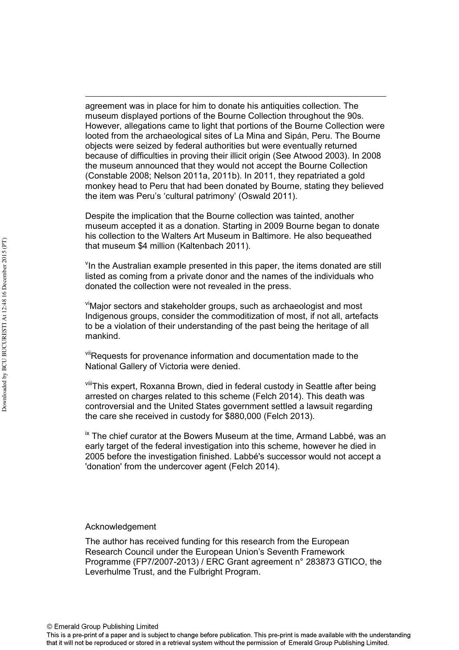agreement was in place for him to donate his antiquities collection. The museum displayed portions of the Bourne Collection throughout the 90s. However, allegations came to light that portions of the Bourne Collection were looted from the archaeological sites of La Mina and Sipán, Peru. The Bourne objects were seized by federal authorities but were eventually returned because of difficulties in proving their illicit origin (See Atwood 2003). In 2008 the museum announced that they would not accept the Bourne Collection (Constable 2008; Nelson 2011a, 2011b). In 2011, they repatriated a gold monkey head to Peru that had been donated by Bourne, stating they believed the item was Peru's 'cultural patrimony' (Oswald 2011).

Despite the implication that the Bourne collection was tainted, another museum accepted it as a donation. Starting in 2009 Bourne began to donate his collection to the Walters Art Museum in Baltimore. He also bequeathed that museum \$4 million (Kaltenbach 2011).

<sup>v</sup>In the Australian example presented in this paper, the items donated are still listed as coming from a private donor and the names of the individuals who donated the collection were not revealed in the press.

viMajor sectors and stakeholder groups, such as archaeologist and most Indigenous groups, consider the commoditization of most, if not all, artefacts to be a violation of their understanding of the past being the heritage of all mankind.

vilRequests for provenance information and documentation made to the National Gallery of Victoria were denied.

vill This expert, Roxanna Brown, died in federal custody in Seattle after being arrested on charges related to this scheme (Felch 2014). This death was controversial and the United States government settled a lawsuit regarding the care she received in custody for \$880,000 (Felch 2013).

<sup>ix</sup> The chief curator at the Bowers Museum at the time, Armand Labbé, was an early target of the federal investigation into this scheme, however he died in 2005 before the investigation finished. Labbé's successor would not accept a 'donation' from the undercover agent (Felch 2014).

#### Acknowledgement

-

The author has received funding for this research from the European Research Council under the European Union's Seventh Framework Programme (FP7/2007-2013) / ERC Grant agreement n° 283873 GTICO, the Leverhulme Trust, and the Fulbright Program.

© Emerald Group Publishing Limited